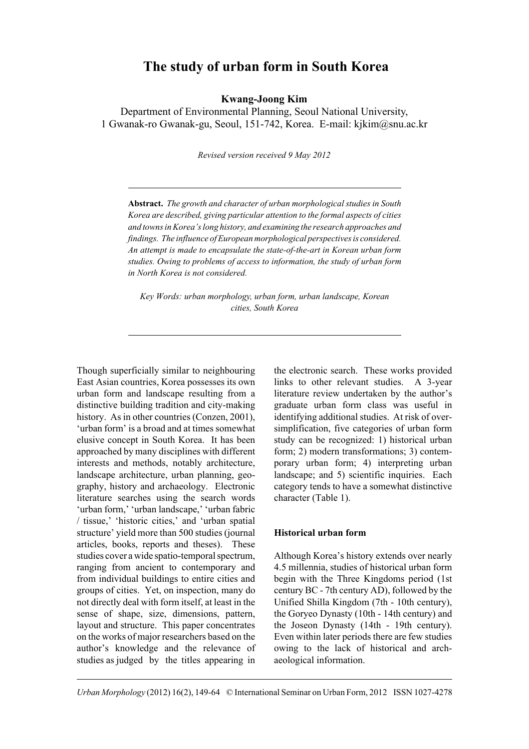# **The study of urban form in South Korea**

**Kwang-Joong Kim**

Department of Environmental Planning, Seoul National University, 1 Gwanak-ro Gwanak-gu, Seoul, 151-742, Korea. E-mail: kjkim@snu.ac.kr

*Revised version received 9 May 2012*

**Abstract.** *The growth and character of urban morphological studies in South Korea are described, giving particular attention to the formal aspects of cities and towns in Korea's long history, and examining the research approaches and findings. The influence of European morphological perspectives is considered. An attempt is made to encapsulate the state-of-the-art in Korean urban form studies. Owing to problems of access to information, the study of urban form in North Korea is not considered.*

*Key Words: urban morphology, urban form, urban landscape, Korean cities, South Korea*

Though superficially similar to neighbouring East Asian countries, Korea possesses its own urban form and landscape resulting from a distinctive building tradition and city-making history. As in other countries (Conzen, 2001), 'urban form' is a broad and at times somewhat elusive concept in South Korea. It has been approached by many disciplines with different interests and methods, notably architecture, landscape architecture, urban planning, geography, history and archaeology. Electronic literature searches using the search words 'urban form,' 'urban landscape,' 'urban fabric / tissue,' 'historic cities,' and 'urban spatial structure' yield more than 500 studies (journal articles, books, reports and theses). These studies cover a wide spatio-temporal spectrum, ranging from ancient to contemporary and from individual buildings to entire cities and groups of cities. Yet, on inspection, many do not directly deal with form itself, at least in the sense of shape, size, dimensions, pattern, layout and structure. This paper concentrates on the works of major researchers based on the author's knowledge and the relevance of studies as judged by the titles appearing in

the electronic search. These works provided links to other relevant studies. A 3-year literature review undertaken by the author's graduate urban form class was useful in identifying additional studies. At risk of oversimplification, five categories of urban form study can be recognized: 1) historical urban form; 2) modern transformations; 3) contemporary urban form; 4) interpreting urban landscape; and 5) scientific inquiries. Each category tends to have a somewhat distinctive character (Table 1).

### **Historical urban form**

Although Korea's history extends over nearly 4.5 millennia, studies of historical urban form begin with the Three Kingdoms period (1st century BC - 7th century AD), followed by the Unified Shilla Kingdom (7th - 10th century), the Goryeo Dynasty (10th - 14th century) and the Joseon Dynasty (14th - 19th century). Even within later periods there are few studies owing to the lack of historical and archaeological information.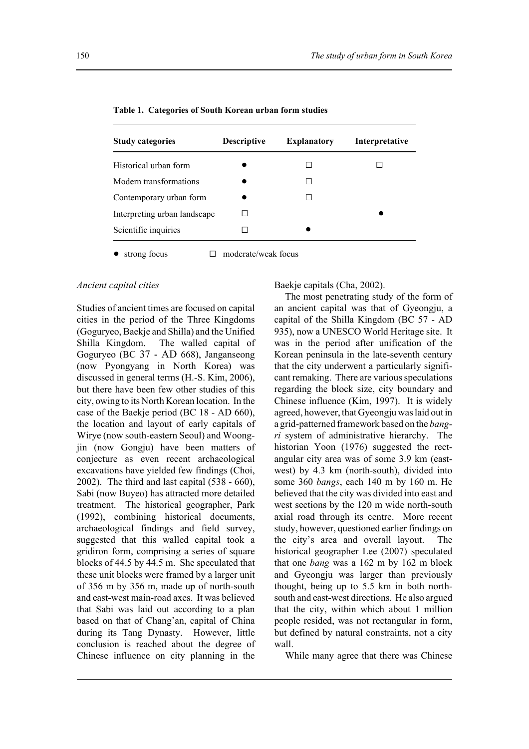| <b>Study categories</b>      | <b>Descriptive</b> | <b>Explanatory</b> | Interpretative |
|------------------------------|--------------------|--------------------|----------------|
| Historical urban form        |                    |                    |                |
| Modern transformations       |                    |                    |                |
| Contemporary urban form      |                    |                    |                |
| Interpreting urban landscape |                    |                    |                |
| Scientific inquiries         |                    |                    |                |
|                              |                    |                    |                |

**Table 1. Categories of South Korean urban form studies**

 $\bullet$  strong focus  $\Box$  moderate/weak focus

#### *Ancient capital cities*

Studies of ancient times are focused on capital cities in the period of the Three Kingdoms (Goguryeo, Baekje and Shilla) and the Unified Shilla Kingdom. The walled capital of Goguryeo (BC 37 - AD 668), Janganseong (now Pyongyang in North Korea) was discussed in general terms (H.-S. Kim, 2006), but there have been few other studies of this city, owing to its North Korean location. In the case of the Baekje period (BC 18 - AD 660), the location and layout of early capitals of Wirye (now south-eastern Seoul) and Woongjin (now Gongju) have been matters of conjecture as even recent archaeological excavations have yielded few findings (Choi, 2002). The third and last capital (538 - 660), Sabi (now Buyeo) has attracted more detailed treatment. The historical geographer, Park (1992), combining historical documents, archaeological findings and field survey, suggested that this walled capital took a gridiron form, comprising a series of square blocks of 44.5 by 44.5 m. She speculated that these unit blocks were framed by a larger unit of 356 m by 356 m, made up of north-south and east-west main-road axes. It was believed that Sabi was laid out according to a plan based on that of Chang'an, capital of China during its Tang Dynasty. However, little conclusion is reached about the degree of Chinese influence on city planning in the

Baekje capitals (Cha, 2002).

The most penetrating study of the form of an ancient capital was that of Gyeongju, a capital of the Shilla Kingdom (BC 57 - AD 935), now a UNESCO World Heritage site. It was in the period after unification of the Korean peninsula in the late-seventh century that the city underwent a particularly significant remaking. There are various speculations regarding the block size, city boundary and Chinese influence (Kim, 1997). It is widely agreed, however, that Gyeongju was laid out in a grid-patterned framework based on the *bangri* system of administrative hierarchy. The historian Yoon (1976) suggested the rectangular city area was of some 3.9 km (eastwest) by 4.3 km (north-south), divided into some 360 *bangs*, each 140 m by 160 m. He believed that the city was divided into east and west sections by the 120 m wide north-south axial road through its centre. More recent study, however, questioned earlier findings on the city's area and overall layout. The historical geographer Lee (2007) speculated that one *bang* was a 162 m by 162 m block and Gyeongju was larger than previously thought, being up to 5.5 km in both northsouth and east-west directions. He also argued that the city, within which about 1 million people resided, was not rectangular in form, but defined by natural constraints, not a city wall.

While many agree that there was Chinese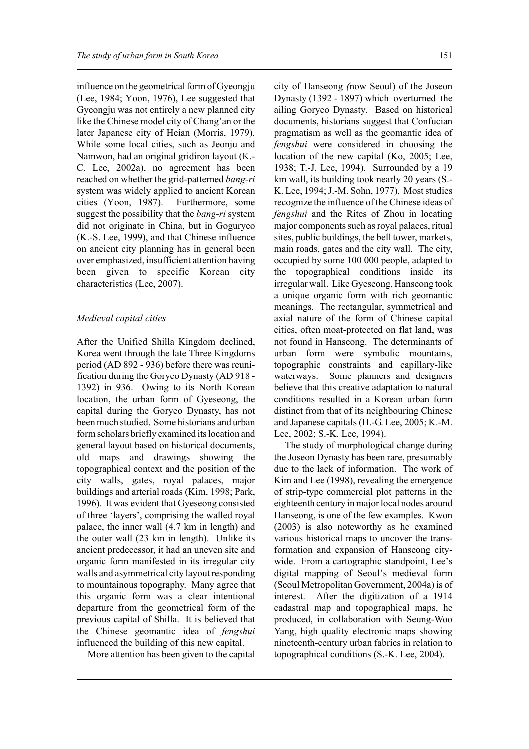influence on the geometrical form of Gyeongju (Lee, 1984; Yoon, 1976), Lee suggested that Gyeongju was not entirely a new planned city like the Chinese model city of Chang'an or the later Japanese city of Heian (Morris, 1979). While some local cities, such as Jeonju and Namwon, had an original gridiron layout (K.- C. Lee, 2002a), no agreement has been reached on whether the grid-patterned *bang-ri* system was widely applied to ancient Korean cities (Yoon, 1987). Furthermore, some suggest the possibility that the *bang-ri* system did not originate in China, but in Goguryeo (K.-S. Lee, 1999), and that Chinese influence on ancient city planning has in general been over emphasized, insufficient attention having been given to specific Korean city characteristics (Lee, 2007).

#### *Medieval capital cities*

After the Unified Shilla Kingdom declined, Korea went through the late Three Kingdoms period (AD 892 - 936) before there was reunification during the Goryeo Dynasty (AD 918 - 1392) in 936. Owing to its North Korean location, the urban form of Gyeseong, the capital during the Goryeo Dynasty, has not been much studied. Some historians and urban form scholars briefly examined its location and general layout based on historical documents, old maps and drawings showing the topographical context and the position of the city walls, gates, royal palaces, major buildings and arterial roads (Kim, 1998; Park, 1996). It was evident that Gyeseong consisted of three 'layers', comprising the walled royal palace, the inner wall (4.7 km in length) and the outer wall (23 km in length). Unlike its ancient predecessor, it had an uneven site and organic form manifested in its irregular city walls and asymmetrical city layout responding to mountainous topography. Many agree that this organic form was a clear intentional departure from the geometrical form of the previous capital of Shilla. It is believed that the Chinese geomantic idea of *fengshui* influenced the building of this new capital.

More attention has been given to the capital

city of Hanseong *(*now Seoul) of the Joseon Dynasty (1392 - 1897) which overturned the ailing Goryeo Dynasty. Based on historical documents, historians suggest that Confucian pragmatism as well as the geomantic idea of *fengshui* were considered in choosing the location of the new capital (Ko, 2005; Lee, 1938; T.-J. Lee, 1994). Surrounded by a 19 km wall, its building took nearly 20 years (S.- K. Lee, 1994; J.-M. Sohn, 1977). Most studies recognize the influence of the Chinese ideas of *fengshui* and the Rites of Zhou in locating major components such as royal palaces, ritual sites, public buildings, the bell tower, markets, main roads, gates and the city wall. The city, occupied by some 100 000 people, adapted to the topographical conditions inside its irregular wall. Like Gyeseong, Hanseong took a unique organic form with rich geomantic meanings. The rectangular, symmetrical and axial nature of the form of Chinese capital cities, often moat-protected on flat land, was not found in Hanseong. The determinants of urban form were symbolic mountains, topographic constraints and capillary-like waterways. Some planners and designers believe that this creative adaptation to natural conditions resulted in a Korean urban form distinct from that of its neighbouring Chinese and Japanese capitals (H.-G. Lee, 2005; K.-M. Lee, 2002; S.-K. Lee, 1994).

The study of morphological change during the Joseon Dynasty has been rare, presumably due to the lack of information. The work of Kim and Lee (1998), revealing the emergence of strip-type commercial plot patterns in the eighteenth century in major local nodes around Hanseong, is one of the few examples. Kwon (2003) is also noteworthy as he examined various historical maps to uncover the transformation and expansion of Hanseong citywide. From a cartographic standpoint, Lee's digital mapping of Seoul's medieval form (Seoul Metropolitan Government, 2004a) is of interest. After the digitization of a 1914 cadastral map and topographical maps, he produced, in collaboration with Seung-Woo Yang, high quality electronic maps showing nineteenth-century urban fabrics in relation to topographical conditions (S.-K. Lee, 2004).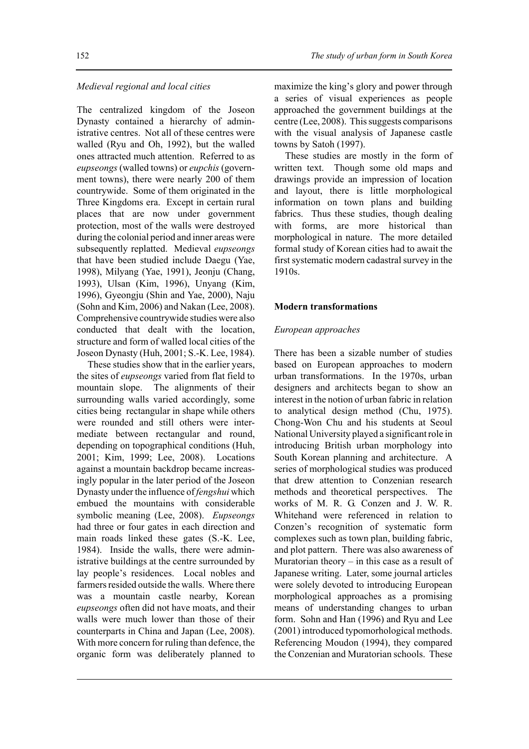### *Medieval regional and local cities*

The centralized kingdom of the Joseon Dynasty contained a hierarchy of administrative centres. Not all of these centres were walled (Ryu and Oh, 1992), but the walled ones attracted much attention. Referred to as *eupseongs* (walled towns) or *eupchis* (government towns), there were nearly 200 of them countrywide. Some of them originated in the Three Kingdoms era. Except in certain rural places that are now under government protection, most of the walls were destroyed during the colonial period and inner areas were subsequently replatted. Medieval *eupseongs* that have been studied include Daegu (Yae, 1998), Milyang (Yae, 1991), Jeonju (Chang, 1993), Ulsan (Kim, 1996), Unyang (Kim, 1996), Gyeongju (Shin and Yae, 2000), Naju (Sohn and Kim, 2006) and Nakan (Lee, 2008). Comprehensive countrywide studies were also conducted that dealt with the location, structure and form of walled local cities of the Joseon Dynasty (Huh, 2001; S.-K. Lee, 1984).

These studies show that in the earlier years, the sites of *eupseongs* varied from flat field to mountain slope. The alignments of their surrounding walls varied accordingly, some cities being rectangular in shape while others were rounded and still others were intermediate between rectangular and round, depending on topographical conditions (Huh, 2001; Kim, 1999; Lee, 2008). Locations against a mountain backdrop became increasingly popular in the later period of the Joseon Dynasty under the influence of *fengshui* which embued the mountains with considerable symbolic meaning (Lee, 2008). *Eupseongs* had three or four gates in each direction and main roads linked these gates (S.-K. Lee, 1984). Inside the walls, there were administrative buildings at the centre surrounded by lay people's residences. Local nobles and farmers resided outside the walls. Where there was a mountain castle nearby, Korean *eupseongs* often did not have moats, and their walls were much lower than those of their counterparts in China and Japan (Lee, 2008). With more concern for ruling than defence, the organic form was deliberately planned to

maximize the king's glory and power through a series of visual experiences as people approached the government buildings at the centre (Lee, 2008). This suggests comparisons with the visual analysis of Japanese castle towns by Satoh (1997).

These studies are mostly in the form of written text. Though some old maps and drawings provide an impression of location and layout, there is little morphological information on town plans and building fabrics. Thus these studies, though dealing with forms, are more historical than morphological in nature. The more detailed formal study of Korean cities had to await the first systematic modern cadastral survey in the 1910s.

#### **Modern transformations**

#### *European approaches*

There has been a sizable number of studies based on European approaches to modern urban transformations. In the 1970s, urban designers and architects began to show an interest in the notion of urban fabric in relation to analytical design method (Chu, 1975). Chong-Won Chu and his students at Seoul National University played a significant role in introducing British urban morphology into South Korean planning and architecture. A series of morphological studies was produced that drew attention to Conzenian research methods and theoretical perspectives. The works of M. R. G. Conzen and J. W. R. Whitehand were referenced in relation to Conzen's recognition of systematic form complexes such as town plan, building fabric, and plot pattern. There was also awareness of Muratorian theory – in this case as a result of Japanese writing. Later, some journal articles were solely devoted to introducing European morphological approaches as a promising means of understanding changes to urban form. Sohn and Han (1996) and Ryu and Lee (2001) introduced typomorhological methods. Referencing Moudon (1994), they compared the Conzenian and Muratorian schools. These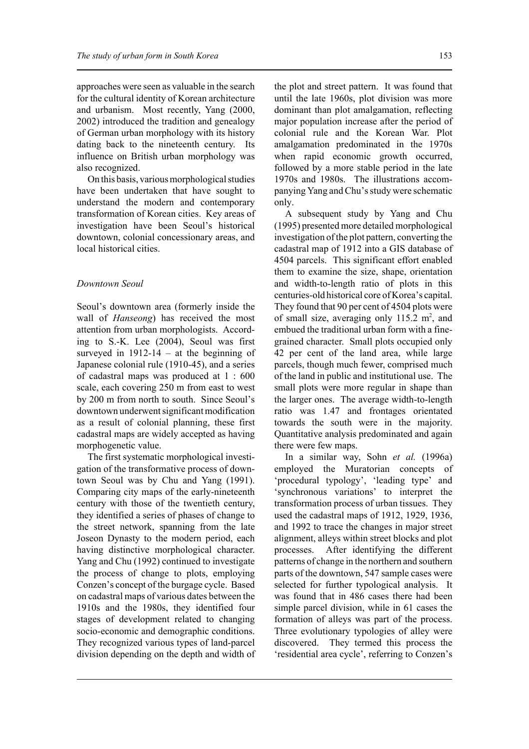approaches were seen as valuable in the search for the cultural identity of Korean architecture and urbanism. Most recently, Yang (2000, 2002) introduced the tradition and genealogy of German urban morphology with its history dating back to the nineteenth century. Its influence on British urban morphology was also recognized.

On this basis, various morphological studies have been undertaken that have sought to understand the modern and contemporary transformation of Korean cities. Key areas of investigation have been Seoul's historical downtown, colonial concessionary areas, and local historical cities.

# *Downtown Seoul*

Seoul's downtown area (formerly inside the wall of *Hanseong*) has received the most attention from urban morphologists. According to S.-K. Lee (2004), Seoul was first surveyed in  $1912-14$  – at the beginning of Japanese colonial rule (1910-45), and a series of cadastral maps was produced at 1 : 600 scale, each covering 250 m from east to west by 200 m from north to south. Since Seoul's downtown underwent significant modification as a result of colonial planning, these first cadastral maps are widely accepted as having morphogenetic value.

The first systematic morphological investigation of the transformative process of downtown Seoul was by Chu and Yang (1991). Comparing city maps of the early-nineteenth century with those of the twentieth century, they identified a series of phases of change to the street network, spanning from the late Joseon Dynasty to the modern period, each having distinctive morphological character. Yang and Chu (1992) continued to investigate the process of change to plots, employing Conzen's concept of the burgage cycle. Based on cadastral maps of various dates between the 1910s and the 1980s, they identified four stages of development related to changing socio-economic and demographic conditions. They recognized various types of land-parcel division depending on the depth and width of the plot and street pattern. It was found that until the late 1960s, plot division was more dominant than plot amalgamation, reflecting major population increase after the period of colonial rule and the Korean War. Plot amalgamation predominated in the 1970s when rapid economic growth occurred, followed by a more stable period in the late 1970s and 1980s. The illustrations accompanying Yang and Chu's study were schematic only.

A subsequent study by Yang and Chu (1995) presented more detailed morphological investigation of the plot pattern, converting the cadastral map of 1912 into a GIS database of 4504 parcels. This significant effort enabled them to examine the size, shape, orientation and width-to-length ratio of plots in this centuries-old historical core of Korea's capital. They found that 90 per cent of 4504 plots were of small size, averaging only  $115.2 \text{ m}^2$ , and embued the traditional urban form with a finegrained character. Small plots occupied only 42 per cent of the land area, while large parcels, though much fewer, comprised much of the land in public and institutional use. The small plots were more regular in shape than the larger ones. The average width-to-length ratio was 1.47 and frontages orientated towards the south were in the majority. Quantitative analysis predominated and again there were few maps.

In a similar way, Sohn *et al.* (1996a) employed the Muratorian concepts of 'procedural typology', 'leading type' and 'synchronous variations' to interpret the transformation process of urban tissues. They used the cadastral maps of 1912, 1929, 1936, and 1992 to trace the changes in major street alignment, alleys within street blocks and plot processes. After identifying the different patterns of change in the northern and southern parts of the downtown, 547 sample cases were selected for further typological analysis. It was found that in 486 cases there had been simple parcel division, while in 61 cases the formation of alleys was part of the process. Three evolutionary typologies of alley were discovered. They termed this process the 'residential area cycle', referring to Conzen's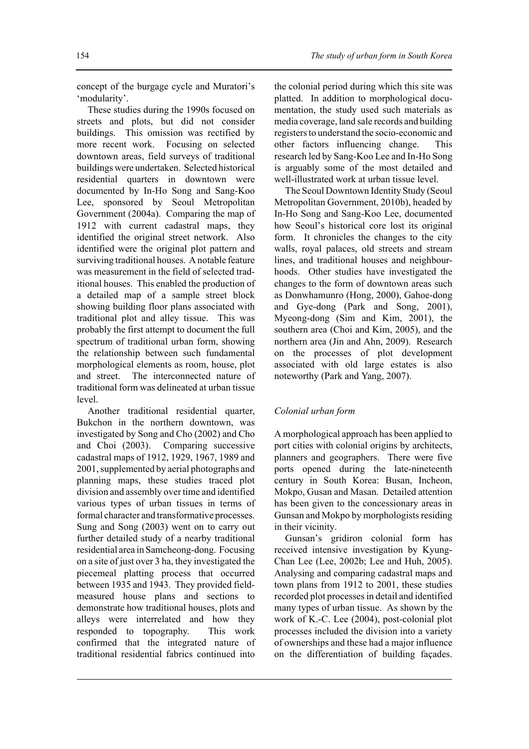concept of the burgage cycle and Muratori's 'modularity'.

These studies during the 1990s focused on streets and plots, but did not consider buildings. This omission was rectified by more recent work. Focusing on selected downtown areas, field surveys of traditional buildings were undertaken. Selected historical residential quarters in downtown were documented by In-Ho Song and Sang-Koo Lee, sponsored by Seoul Metropolitan Government (2004a). Comparing the map of 1912 with current cadastral maps, they identified the original street network. Also identified were the original plot pattern and surviving traditional houses. A notable feature was measurement in the field of selected traditional houses. This enabled the production of a detailed map of a sample street block showing building floor plans associated with traditional plot and alley tissue. This was probably the first attempt to document the full spectrum of traditional urban form, showing the relationship between such fundamental morphological elements as room, house, plot and street. The interconnected nature of traditional form was delineated at urban tissue level.

Another traditional residential quarter, Bukchon in the northern downtown, was investigated by Song and Cho (2002) and Cho and Choi (2003). Comparing successive cadastral maps of 1912, 1929, 1967, 1989 and 2001, supplemented by aerial photographs and planning maps, these studies traced plot division and assembly over time and identified various types of urban tissues in terms of formal character and transformative processes. Sung and Song (2003) went on to carry out further detailed study of a nearby traditional residential area in Samcheong-dong. Focusing on a site of just over 3 ha, they investigated the piecemeal platting process that occurred between 1935 and 1943. They provided fieldmeasured house plans and sections to demonstrate how traditional houses, plots and alleys were interrelated and how they responded to topography. This work confirmed that the integrated nature of traditional residential fabrics continued into

the colonial period during which this site was platted. In addition to morphological documentation, the study used such materials as media coverage, land sale records and building registers to understand the socio-economic and other factors influencing change. This research led by Sang-Koo Lee and In-Ho Song is arguably some of the most detailed and well-illustrated work at urban tissue level.

The Seoul Downtown Identity Study (Seoul Metropolitan Government, 2010b), headed by In-Ho Song and Sang-Koo Lee, documented how Seoul's historical core lost its original form. It chronicles the changes to the city walls, royal palaces, old streets and stream lines, and traditional houses and neighbourhoods. Other studies have investigated the changes to the form of downtown areas such as Donwhamunro (Hong, 2000), Gahoe-dong and Gye-dong (Park and Song, 2001), Myeong-dong (Sim and Kim, 2001), the southern area (Choi and Kim, 2005), and the northern area (Jin and Ahn, 2009). Research on the processes of plot development associated with old large estates is also noteworthy (Park and Yang, 2007).

# *Colonial urban form*

A morphological approach has been applied to port cities with colonial origins by architects, planners and geographers. There were five ports opened during the late-nineteenth century in South Korea: Busan, Incheon, Mokpo, Gusan and Masan. Detailed attention has been given to the concessionary areas in Gunsan and Mokpo by morphologists residing in their vicinity.

Gunsan's gridiron colonial form has received intensive investigation by Kyung-Chan Lee (Lee, 2002b; Lee and Huh, 2005). Analysing and comparing cadastral maps and town plans from 1912 to 2001, these studies recorded plot processes in detail and identified many types of urban tissue. As shown by the work of K.-C. Lee (2004), post-colonial plot processes included the division into a variety of ownerships and these had a major influence on the differentiation of building façades.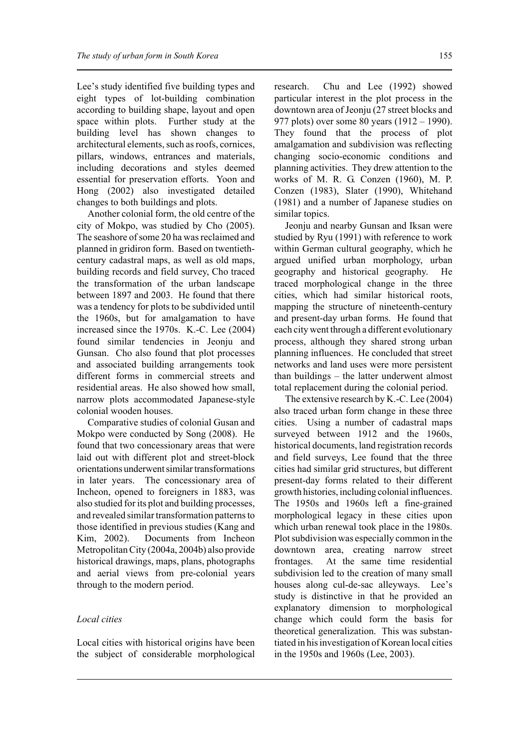Lee's study identified five building types and eight types of lot-building combination according to building shape, layout and open space within plots. Further study at the building level has shown changes to architectural elements, such as roofs, cornices, pillars, windows, entrances and materials, including decorations and styles deemed essential for preservation efforts. Yoon and Hong (2002) also investigated detailed changes to both buildings and plots.

Another colonial form, the old centre of the city of Mokpo, was studied by Cho (2005). The seashore of some 20 ha was reclaimed and planned in gridiron form. Based on twentiethcentury cadastral maps, as well as old maps, building records and field survey, Cho traced the transformation of the urban landscape between 1897 and 2003. He found that there was a tendency for plots to be subdivided until the 1960s, but for amalgamation to have increased since the 1970s. K.-C. Lee (2004) found similar tendencies in Jeonju and Gunsan. Cho also found that plot processes and associated building arrangements took different forms in commercial streets and residential areas. He also showed how small, narrow plots accommodated Japanese-style colonial wooden houses.

Comparative studies of colonial Gusan and Mokpo were conducted by Song (2008). He found that two concessionary areas that were laid out with different plot and street-block orientations underwent similar transformations in later years. The concessionary area of Incheon, opened to foreigners in 1883, was also studied for its plot and building processes, and revealed similar transformation patterns to those identified in previous studies (Kang and Kim, 2002). Documents from Incheon Metropolitan City (2004a, 2004b) also provide historical drawings, maps, plans, photographs and aerial views from pre-colonial years through to the modern period.

# *Local cities*

Local cities with historical origins have been the subject of considerable morphological

research. Chu and Lee (1992) showed particular interest in the plot process in the downtown area of Jeonju (27 street blocks and 977 plots) over some 80 years (1912 – 1990). They found that the process of plot amalgamation and subdivision was reflecting changing socio-economic conditions and planning activities. They drew attention to the works of M. R. G. Conzen (1960), M. P. Conzen (1983), Slater (1990), Whitehand (1981) and a number of Japanese studies on similar topics.

Jeonju and nearby Gunsan and Iksan were studied by Ryu (1991) with reference to work within German cultural geography, which he argued unified urban morphology, urban geography and historical geography. He traced morphological change in the three cities, which had similar historical roots, mapping the structure of nineteenth-century and present-day urban forms. He found that each city went through a different evolutionary process, although they shared strong urban planning influences. He concluded that street networks and land uses were more persistent than buildings – the latter underwent almost total replacement during the colonial period.

The extensive research by K.-C. Lee (2004) also traced urban form change in these three cities. Using a number of cadastral maps surveyed between 1912 and the 1960s, historical documents, land registration records and field surveys, Lee found that the three cities had similar grid structures, but different present-day forms related to their different growth histories, including colonial influences. The 1950s and 1960s left a fine-grained morphological legacy in these cities upon which urban renewal took place in the 1980s. Plot subdivision was especially common in the downtown area, creating narrow street frontages. At the same time residential subdivision led to the creation of many small houses along cul-de-sac alleyways. Lee's study is distinctive in that he provided an explanatory dimension to morphological change which could form the basis for theoretical generalization. This was substantiated in his investigation of Korean local cities in the 1950s and 1960s (Lee, 2003).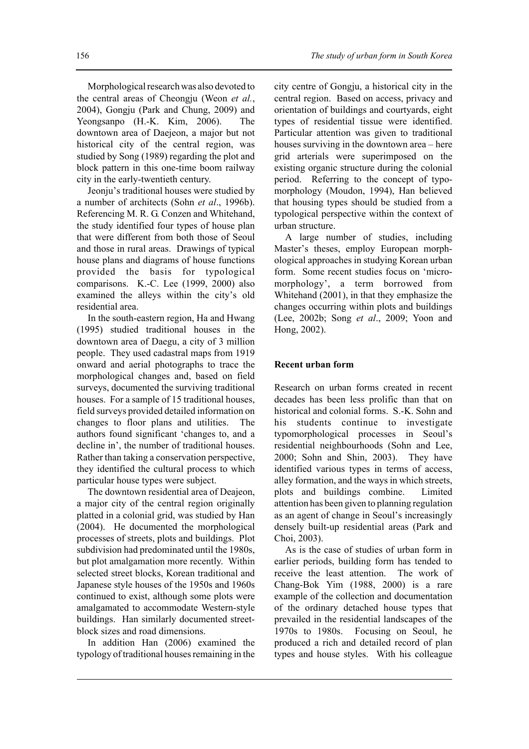Morphological research was also devoted to the central areas of Cheongju (Weon *et al.*, 2004), Gongju (Park and Chung, 2009) and Yeongsanpo (H.-K. Kim, 2006). The downtown area of Daejeon, a major but not historical city of the central region, was studied by Song (1989) regarding the plot and block pattern in this one-time boom railway city in the early-twentieth century.

Jeonju's traditional houses were studied by a number of architects (Sohn *et al*., 1996b). Referencing M. R. G. Conzen and Whitehand, the study identified four types of house plan that were different from both those of Seoul and those in rural areas. Drawings of typical house plans and diagrams of house functions provided the basis for typological comparisons. K.-C. Lee (1999, 2000) also examined the alleys within the city's old residential area.

In the south-eastern region, Ha and Hwang (1995) studied traditional houses in the downtown area of Daegu, a city of 3 million people. They used cadastral maps from 1919 onward and aerial photographs to trace the morphological changes and, based on field surveys, documented the surviving traditional houses. For a sample of 15 traditional houses, field surveys provided detailed information on changes to floor plans and utilities. The authors found significant 'changes to, and a decline in', the number of traditional houses. Rather than taking a conservation perspective, they identified the cultural process to which particular house types were subject.

The downtown residential area of Deajeon, a major city of the central region originally platted in a colonial grid, was studied by Han (2004). He documented the morphological processes of streets, plots and buildings. Plot subdivision had predominated until the 1980s, but plot amalgamation more recently. Within selected street blocks, Korean traditional and Japanese style houses of the 1950s and 1960s continued to exist, although some plots were amalgamated to accommodate Western-style buildings. Han similarly documented streetblock sizes and road dimensions.

In addition Han (2006) examined the typology of traditional houses remaining in the

city centre of Gongju, a historical city in the central region. Based on access, privacy and orientation of buildings and courtyards, eight types of residential tissue were identified. Particular attention was given to traditional houses surviving in the downtown area – here grid arterials were superimposed on the existing organic structure during the colonial period. Referring to the concept of typomorphology (Moudon, 1994), Han believed that housing types should be studied from a typological perspective within the context of urban structure.

A large number of studies, including Master's theses, employ European morphological approaches in studying Korean urban form. Some recent studies focus on 'micromorphology', a term borrowed from Whitehand (2001), in that they emphasize the changes occurring within plots and buildings (Lee, 2002b; Song *et al*., 2009; Yoon and Hong, 2002).

#### **Recent urban form**

Research on urban forms created in recent decades has been less prolific than that on historical and colonial forms. S.-K. Sohn and his students continue to investigate typomorphological processes in Seoul's residential neighbourhoods (Sohn and Lee, 2000; Sohn and Shin, 2003). They have identified various types in terms of access, alley formation, and the ways in which streets, plots and buildings combine. Limited attention has been given to planning regulation as an agent of change in Seoul's increasingly densely built-up residential areas (Park and Choi, 2003).

As is the case of studies of urban form in earlier periods, building form has tended to receive the least attention. The work of Chang-Bok Yim (1988, 2000) is a rare example of the collection and documentation of the ordinary detached house types that prevailed in the residential landscapes of the 1970s to 1980s. Focusing on Seoul, he produced a rich and detailed record of plan types and house styles. With his colleague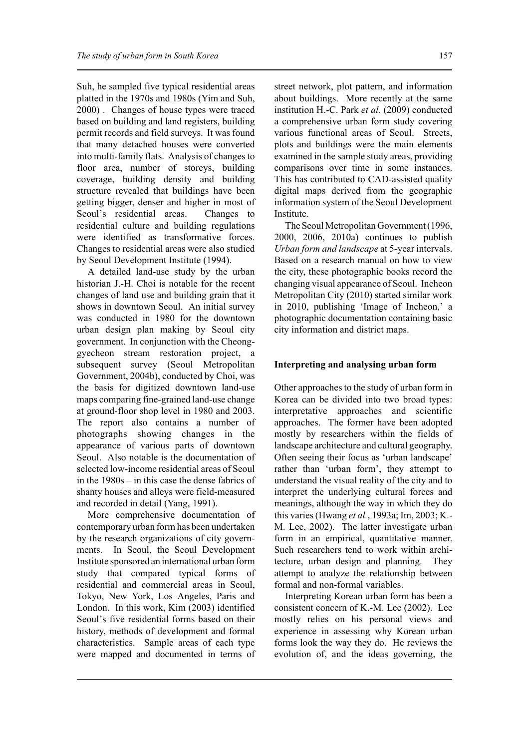Suh, he sampled five typical residential areas platted in the 1970s and 1980s (Yim and Suh, 2000) . Changes of house types were traced based on building and land registers, building permit records and field surveys. It was found that many detached houses were converted into multi-family flats. Analysis of changes to floor area, number of storeys, building coverage, building density and building structure revealed that buildings have been getting bigger, denser and higher in most of Seoul's residential areas. Changes to residential culture and building regulations were identified as transformative forces. Changes to residential areas were also studied by Seoul Development Institute (1994).

A detailed land-use study by the urban historian J.-H. Choi is notable for the recent changes of land use and building grain that it shows in downtown Seoul. An initial survey was conducted in 1980 for the downtown urban design plan making by Seoul city government. In conjunction with the Cheonggyecheon stream restoration project, a subsequent survey (Seoul Metropolitan Government, 2004b), conducted by Choi, was the basis for digitized downtown land-use maps comparing fine-grained land-use change at ground-floor shop level in 1980 and 2003. The report also contains a number of photographs showing changes in the appearance of various parts of downtown Seoul. Also notable is the documentation of selected low-income residential areas of Seoul in the 1980s – in this case the dense fabrics of shanty houses and alleys were field-measured and recorded in detail (Yang, 1991).

More comprehensive documentation of contemporary urban form has been undertaken by the research organizations of city governments. In Seoul, the Seoul Development Institute sponsored an international urban form study that compared typical forms of residential and commercial areas in Seoul, Tokyo, New York, Los Angeles, Paris and London. In this work, Kim (2003) identified Seoul's five residential forms based on their history, methods of development and formal characteristics. Sample areas of each type were mapped and documented in terms of

street network, plot pattern, and information about buildings. More recently at the same institution H.-C. Park *et al.* (2009) conducted a comprehensive urban form study covering various functional areas of Seoul. Streets, plots and buildings were the main elements examined in the sample study areas, providing comparisons over time in some instances. This has contributed to CAD-assisted quality digital maps derived from the geographic information system of the Seoul Development Institute.

The Seoul Metropolitan Government (1996, 2000, 2006, 2010a) continues to publish *Urban form and landscape* at 5-year intervals. Based on a research manual on how to view the city, these photographic books record the changing visual appearance of Seoul. Incheon Metropolitan City (2010) started similar work in 2010, publishing 'Image of Incheon,' a photographic documentation containing basic city information and district maps.

# **Interpreting and analysing urban form**

Other approaches to the study of urban form in Korea can be divided into two broad types: interpretative approaches and scientific approaches. The former have been adopted mostly by researchers within the fields of landscape architecture and cultural geography. Often seeing their focus as 'urban landscape' rather than 'urban form', they attempt to understand the visual reality of the city and to interpret the underlying cultural forces and meanings, although the way in which they do this varies (Hwang *et al.*, 1993a; Im, 2003; K.- M. Lee, 2002). The latter investigate urban form in an empirical, quantitative manner. Such researchers tend to work within architecture, urban design and planning. They attempt to analyze the relationship between formal and non-formal variables.

Interpreting Korean urban form has been a consistent concern of K.-M. Lee (2002). Lee mostly relies on his personal views and experience in assessing why Korean urban forms look the way they do. He reviews the evolution of, and the ideas governing, the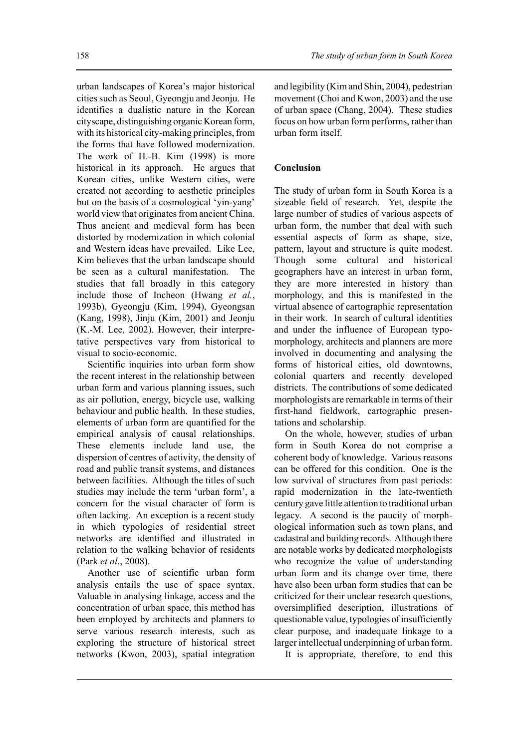urban landscapes of Korea's major historical cities such as Seoul, Gyeongju and Jeonju. He identifies a dualistic nature in the Korean cityscape, distinguishing organic Korean form, with its historical city-making principles, from the forms that have followed modernization. The work of H.-B. Kim (1998) is more historical in its approach. He argues that Korean cities, unlike Western cities, were created not according to aesthetic principles but on the basis of a cosmological 'yin-yang' world view that originates from ancient China. Thus ancient and medieval form has been distorted by modernization in which colonial and Western ideas have prevailed. Like Lee, Kim believes that the urban landscape should be seen as a cultural manifestation. studies that fall broadly in this category include those of Incheon (Hwang *et al.*, 1993b), Gyeongju (Kim, 1994), Gyeongsan (Kang, 1998), Jinju (Kim, 2001) and Jeonju (K.-M. Lee, 2002). However, their interpretative perspectives vary from historical to visual to socio-economic.

Scientific inquiries into urban form show the recent interest in the relationship between urban form and various planning issues, such as air pollution, energy, bicycle use, walking behaviour and public health. In these studies, elements of urban form are quantified for the empirical analysis of causal relationships. These elements include land use, the dispersion of centres of activity, the density of road and public transit systems, and distances between facilities. Although the titles of such studies may include the term 'urban form', a concern for the visual character of form is often lacking. An exception is a recent study in which typologies of residential street networks are identified and illustrated in relation to the walking behavior of residents (Park *et al*., 2008).

Another use of scientific urban form analysis entails the use of space syntax. Valuable in analysing linkage, access and the concentration of urban space, this method has been employed by architects and planners to serve various research interests, such as exploring the structure of historical street networks (Kwon, 2003), spatial integration

and legibility (Kim and Shin, 2004), pedestrian movement (Choi and Kwon, 2003) and the use of urban space (Chang, 2004). These studies focus on how urban form performs, rather than urban form itself.

# **Conclusion**

The study of urban form in South Korea is a sizeable field of research. Yet, despite the large number of studies of various aspects of urban form, the number that deal with such essential aspects of form as shape, size, pattern, layout and structure is quite modest. Though some cultural and historical geographers have an interest in urban form, they are more interested in history than morphology, and this is manifested in the virtual absence of cartographic representation in their work. In search of cultural identities and under the influence of European typomorphology, architects and planners are more involved in documenting and analysing the forms of historical cities, old downtowns, colonial quarters and recently developed districts. The contributions of some dedicated morphologists are remarkable in terms of their first-hand fieldwork, cartographic presentations and scholarship.

On the whole, however, studies of urban form in South Korea do not comprise a coherent body of knowledge. Various reasons can be offered for this condition. One is the low survival of structures from past periods: rapid modernization in the late-twentieth century gave little attention to traditional urban legacy. A second is the paucity of morphological information such as town plans, and cadastral and building records. Although there are notable works by dedicated morphologists who recognize the value of understanding urban form and its change over time, there have also been urban form studies that can be criticized for their unclear research questions, oversimplified description, illustrations of questionable value, typologies of insufficiently clear purpose, and inadequate linkage to a larger intellectual underpinning of urban form.

It is appropriate, therefore, to end this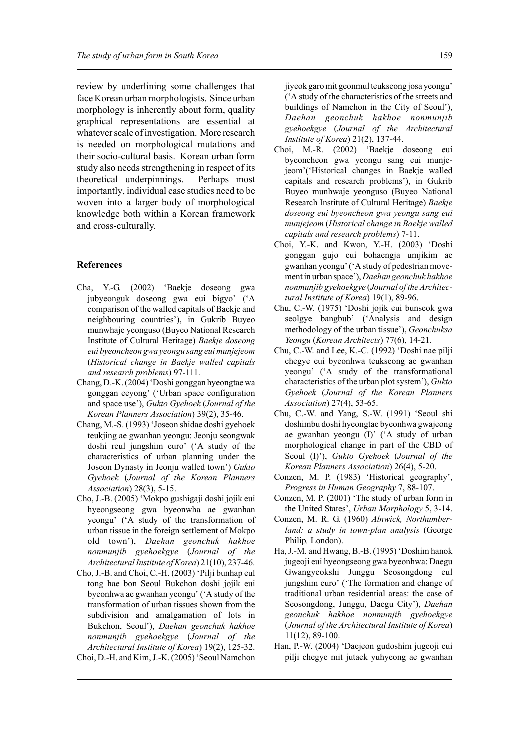review by underlining some challenges that face Korean urban morphologists. Since urban morphology is inherently about form, quality graphical representations are essential at whatever scale of investigation. More research is needed on morphological mutations and their socio-cultural basis. Korean urban form study also needs strengthening in respect of its theoretical underpinnings. Perhaps most importantly, individual case studies need to be woven into a larger body of morphological knowledge both within a Korean framework and cross-culturally.

#### **References**

- Cha, Y.-G. (2002) 'Baekje doseong gwa jubyeonguk doseong gwa eui bigyo' ('A comparison of the walled capitals of Baekje and neighbouring countries'), in Gukrib Buyeo munwhaje yeonguso (Buyeo National Research Institute of Cultural Heritage) *Baekje doseong eui byeoncheon gwa yeongu sang eui munjejeom* (*Historical change in Baekje walled capitals and research problems*) 97-111.
- Chang, D.-K. (2004) 'Doshi gonggan hyeongtae wa gonggan eeyong' ('Urban space configuration and space use'), *Gukto Gyehoek* (*Journal of the Korean Planners Association*) 39(2), 35-46.
- Chang, M.-S. (1993) 'Joseon shidae doshi gyehoek teukjing ae gwanhan yeongu: Jeonju seongwak doshi reul jungshim euro' ('A study of the characteristics of urban planning under the Joseon Dynasty in Jeonju walled town') *Gukto Gyehoek* (*Journal of the Korean Planners Association*) 28(3), 5-15.
- Cho, J.-B. (2005) 'Mokpo gushigaji doshi jojik eui hyeongseong gwa byeonwha ae gwanhan yeongu' ('A study of the transformation of urban tissue in the foreign settlement of Mokpo old town'), *Daehan geonchuk hakhoe nonmunjib gyehoekgye* (*Journal of the ArchitecturalInstitute of Korea*) 21(10), 237-46.
- Cho, J.-B. and Choi, C.-H. (2003) 'Pilji bunhap eul tong hae bon Seoul Bukchon doshi jojik eui byeonhwa ae gwanhan yeongu' ('A study of the transformation of urban tissues shown from the subdivision and amalgamation of lots in Bukchon, Seoul'), *Daehan geonchuk hakhoe nonmunjib gyehoekgye* (*Journal of the Architectural Institute of Korea*) 19(2), 125-32. Choi, D.-H. and Kim, J.-K. (2005) 'Seoul Namchon

jiyeok garo mit geonmul teukseong josa yeongu' ('A study of the characteristics of the streets and buildings of Namchon in the City of Seoul'), *Daehan geonchuk hakhoe nonmunjib gyehoekgye* (*Journal of the Architectural Institute of Korea*) 21(2), 137-44.

- Choi, M.-R. (2002) 'Baekje doseong eui byeoncheon gwa yeongu sang eui munjejeom'('Historical changes in Baekje walled capitals and research problems'), in Gukrib Buyeo munhwaje yeonguso (Buyeo National Research Institute of Cultural Heritage) *Baekje doseong eui byeoncheon gwa yeongu sang eui munjejeom* (*Historical change in Baekje walled capitals and research problems*) 7-11.
- Choi, Y.-K. and Kwon, Y.-H. (2003) 'Doshi gonggan gujo eui bohaengja umjikim ae gwanhan yeongu' ('A study of pedestrian movement in urban space'), *Daehan geonchuk hakhoe nonmunjib gyehoekgye* (*Journal of the Architectural Institute of Korea*) 19(1), 89-96.
- Chu, C.-W. (1975) 'Doshi jojik eui bunseok gwa seolgye bangbub' ('Analysis and design methodology of the urban tissue'), *Geonchuksa Yeongu* (*Korean Architects*) 77(6), 14-21.
- Chu, C.-W. and Lee, K.-C. (1992) 'Doshi nae pilji chegye eui byeonhwa teukseong ae gwanhan yeongu' ('A study of the transformational characteristics of the urban plot system'), *Gukto Gyehoek* (*Journal of the Korean Planners Association*) 27(4), 53-65.
- Chu, C.-W. and Yang, S.-W. (1991) 'Seoul shi doshimbu doshi hyeongtae byeonhwa gwajeong ae gwanhan yeongu (I)' ('A study of urban morphological change in part of the CBD of Seoul (I)'), *Gukto Gyehoek* (*Journal of the Korean Planners Association*) 26(4), 5-20.
- Conzen, M. P. (1983) 'Historical geography', *Progress in Human Geography* 7, 88-107.
- Conzen, M. P. (2001) 'The study of urban form in the United States', *Urban Morphology* 5, 3-14.
- Conzen, M. R. G. (1960) *Alnwick, Northumberland: a study in town-plan analysis* (George Philip*,* London).
- Ha, J.-M. and Hwang, B.-B. (1995) 'Doshim hanok jugeoji eui hyeongseong gwa byeonhwa: Daegu Gwangyeokshi Junggu Seosongdong eul jungshim euro' ('The formation and change of traditional urban residential areas: the case of Seosongdong, Junggu, Daegu City'), *Daehan geonchuk hakhoe nonmunjib gyehoekgye* (*Journal of the Architectural Institute of Korea*) 11(12), 89-100.
- Han, P.-W. (2004) 'Daejeon gudoshim jugeoji eui pilji chegye mit jutaek yuhyeong ae gwanhan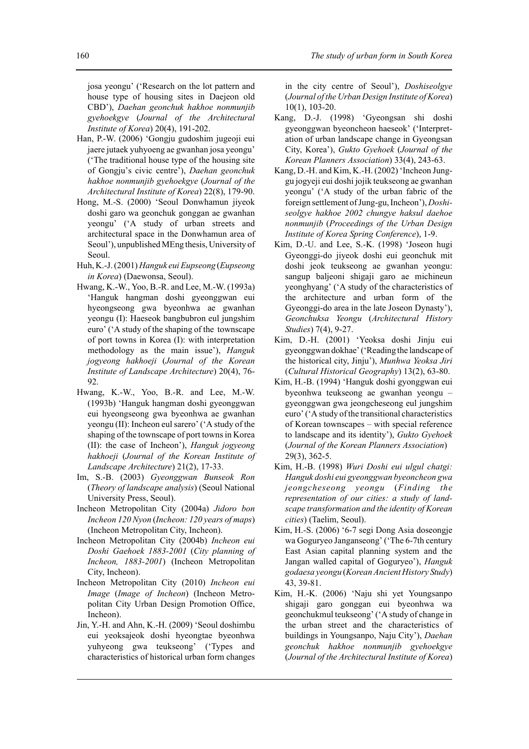josa yeongu' ('Research on the lot pattern and house type of housing sites in Daejeon old CBD'), *Daehan geonchuk hakhoe nonmunjib gyehoekgye* (*Journal of the Architectural Institute of Korea*) 20(4), 191-202.

- Han, P.-W. (2006) 'Gongju gudoshim jugeoji eui jaere jutaek yuhyoeng ae gwanhan josa yeongu' ('The traditional house type of the housing site of Gongju's civic centre'), *Daehan geonchuk hakhoe nonmunjib gyehoekgye* (*Journal of the Architectural Institute of Korea*) 22(8), 179-90.
- Hong, M.-S. (2000) 'Seoul Donwhamun jiyeok doshi garo wa geonchuk gonggan ae gwanhan yeongu' ('A study of urban streets and architectural space in the Donwhamun area of Seoul'), unpublished MEng thesis, University of Seoul.
- Huh, K.-J. (2001) *Hanguk eui Eupseong* (*Eupseong in Korea*) (Daewonsa, Seoul).
- Hwang, K.-W., Yoo, B.-R. and Lee, M.-W. (1993a) 'Hanguk hangman doshi gyeonggwan eui hyeongseong gwa byeonhwa ae gwanhan yeongu (I): Haeseok bangbubron eul jungshim euro' ('A study of the shaping of the townscape of port towns in Korea (I): with interpretation methodology as the main issue'), *Hanguk jogyeong hakhoeji* (*Journal of the Korean Institute of Landscape Architecture*) 20(4), 76- 92.
- Hwang, K.-W., Yoo, B.-R. and Lee, M.-W. (1993b) 'Hanguk hangman doshi gyeonggwan eui hyeongseong gwa byeonhwa ae gwanhan yeongu (II): Incheon eul sarero' ('A study of the shaping of the townscape of port towns in Korea (II): the case of Incheon'), *Hanguk jogyeong hakhoeji* (*Journal of the Korean Institute of Landscape Architecture*) 21(2), 17-33.
- Im, S.-B. (2003) *Gyeonggwan Bunseok Ron* (*Theory of landscape analysis*) (Seoul National University Press, Seoul).
- Incheon Metropolitan City (2004a) *Jidoro bon Incheon 120 Nyon* (*Incheon: 120 years of maps*) (Incheon Metropolitan City, Incheon).
- Incheon Metropolitan City (2004b) *Incheon eui Doshi Gaehoek 1883-2001* (*City planning of Incheon, 1883-2001*) (Incheon Metropolitan City, Incheon).
- Incheon Metropolitan City (2010) *Incheon eui Image* (*Image of Incheon*) (Incheon Metropolitan City Urban Design Promotion Office, Incheon).
- Jin, Y.-H. and Ahn, K.-H. (2009) 'Seoul doshimbu eui yeoksajeok doshi hyeongtae byeonhwa yuhyeong gwa teukseong' ('Types and characteristics of historical urban form changes

in the city centre of Seoul'), *Doshiseolgye* (*Journal of the Urban Design Institute of Korea*) 10(1), 103-20.

- Kang, D.-J. (1998) 'Gyeongsan shi doshi gyeonggwan byeoncheon haeseok' ('Interpretation of urban landscape change in Gyeongsan City, Korea'), *Gukto Gyehoek* (*Journal of the Korean Planners Association*) 33(4), 243-63.
- Kang, D.-H. and Kim, K.-H. (2002) 'Incheon Junggu jogyeji eui doshi jojik teukseong ae gwanhan yeongu' ('A study of the urban fabric of the foreign settlement of Jung-gu, Incheon'), *Doshiseolgye hakhoe 2002 chungye haksul daehoe nonmunjib* (*Proceedings of the Urban Design Institute of Korea Spring Conference*), 1-9.
- Kim, D.-U. and Lee, S.-K. (1998) 'Joseon hugi Gyeonggi-do jiyeok doshi eui geonchuk mit doshi jeok teukseong ae gwanhan yeongu: sangup baljeoni shigaji garo ae michineun yeonghyang' ('A study of the characteristics of the architecture and urban form of the Gyeonggi-do area in the late Joseon Dynasty'), *Geonchuksa Yeongu* (*Architectural History Studies*) 7(4), 9-27.
- Kim, D.-H. (2001) 'Yeoksa doshi Jinju eui gyeonggwan dokhae' ('Reading the landscape of the historical city, Jinju'), *Munhwa Yeoksa Jiri* (*Cultural Historical Geography*) 13(2), 63-80.
- Kim, H.-B. (1994) 'Hanguk doshi gyonggwan eui byeonhwa teukseong ae gwanhan yeongu – gyeonggwan gwa jeongcheseong eul jungshim euro' ('A study of the transitional characteristics of Korean townscapes – with special reference to landscape and its identity'), *Gukto Gyehoek* (*Journal of the Korean Planners Association*) 29(3), 362-5.
- Kim, H.-B. (1998) *Wuri Doshi eui ulgul chatgi: Hanguk doshi eui gyeonggwan byeoncheon gwa jeongcheseong yeongu* (*Finding the representation of our cities: a study of landscape transformation and the identity of Korean cities*) (Taelim, Seoul).
- Kim, H.-S. (2006) '6-7 segi Dong Asia doseongje wa Goguryeo Janganseong' ('The 6-7th century East Asian capital planning system and the Jangan walled capital of Goguryeo'), *Hanguk godaesa yeongu* (*Korean Ancient History Study*) 43, 39-81.
- Kim, H.-K. (2006) 'Naju shi yet Youngsanpo shigaji garo gonggan eui byeonhwa wa geonchukmul teukseong' ('A study of change in the urban street and the characteristics of buildings in Youngsanpo, Naju City'), *Daehan geonchuk hakhoe nonmunjib gyehoekgye* (*Journal of the Architectural Institute of Korea*)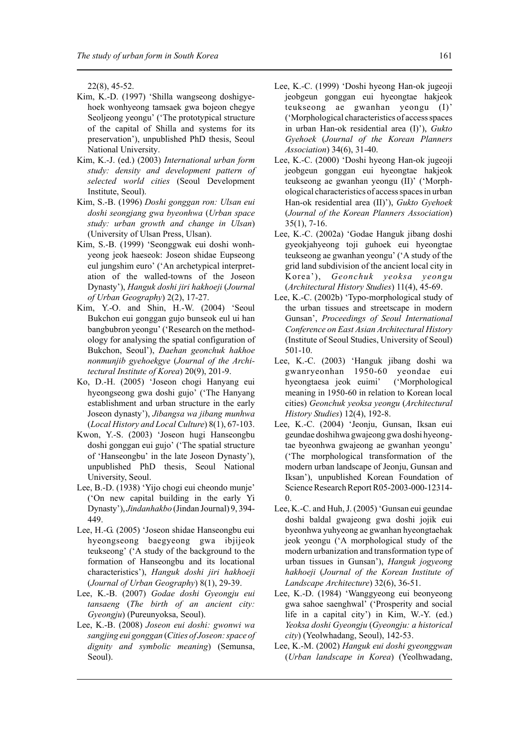22(8), 45-52.

- Kim, K.-D. (1997) 'Shilla wangseong doshigyehoek wonhyeong tamsaek gwa bojeon chegye Seoljeong yeongu' ('The prototypical structure of the capital of Shilla and systems for its preservation'), unpublished PhD thesis, Seoul National University.
- Kim, K.-J. (ed.) (2003) *International urban form study: density and development pattern of selected world cities* (Seoul Development Institute, Seoul).
- Kim, S.-B. (1996) *Doshi gonggan ron: Ulsan eui doshi seongjang gwa byeonhwa* (*Urban space study: urban growth and change in Ulsan*) (University of Ulsan Press, Ulsan).
- Kim, S.-B. (1999) 'Seonggwak eui doshi wonhyeong jeok haeseok: Joseon shidae Eupseong eul jungshim euro' ('An archetypical interpretation of the walled-towns of the Joseon Dynasty'), *Hanguk doshi jiri hakhoeji* (*Journal of Urban Geography*) 2(2), 17-27.
- Kim, Y.-O. and Shin, H.-W. (2004) 'Seoul Bukchon eui gonggan gujo bunseok eul ui han bangbubron yeongu' ('Research on the methodology for analysing the spatial configuration of Bukchon, Seoul'), *Daehan geonchuk hakhoe nonmunjib gyehoekgye* (*Journal of the Architectural Institute of Korea*) 20(9), 201-9.
- Ko, D.-H. (2005) 'Joseon chogi Hanyang eui hyeongseong gwa doshi gujo' ('The Hanyang establishment and urban structure in the early Joseon dynasty'), *Jibangsa wa jibang munhwa* (*Local History and Local Culture*) 8(1), 67-103.
- Kwon, Y.-S. (2003) 'Joseon hugi Hanseongbu doshi gonggan eui gujo' ('The spatial structure of 'Hanseongbu' in the late Joseon Dynasty'), unpublished PhD thesis, Seoul National University, Seoul.
- Lee, B.-D. (1938) 'Yijo chogi eui cheondo munje' ('On new capital building in the early Yi Dynasty'), *Jindanhakbo* (Jindan Journal) 9, 394- 449.
- Lee, H.-G. (2005) 'Joseon shidae Hanseongbu eui hyeongseong baegyeong gwa ibjijeok teukseong' ('A study of the background to the formation of Hanseongbu and its locational characteristics'), *Hanguk doshi jiri hakhoeji* (*Journal of Urban Geography*) 8(1), 29-39.
- Lee, K.-B. (2007) *Godae doshi Gyeongju eui tansaeng* (*The birth of an ancient city: Gyeongju*) (Pureunyoksa, Seoul).
- Lee, K.-B. (2008) *Joseon eui doshi: gwonwi wa sangjing eui gonggan* (*Cities of Joseon: space of dignity and symbolic meaning*) (Semunsa, Seoul).
- Lee, K.-C. (1999) 'Doshi hyeong Han-ok jugeoji jeobgeun gonggan eui hyeongtae hakjeok teukseong ae gwanhan yeongu (I)' ('Morphological characteristics of access spaces in urban Han-ok residential area (I)'), *Gukto Gyehoek* (*Journal of the Korean Planners Association*) 34(6), 31-40.
- Lee, K.-C. (2000) 'Doshi hyeong Han-ok jugeoji jeobgeun gonggan eui hyeongtae hakjeok teukseong ae gwanhan yeongu (II)' ('Morphological characteristics of access spaces in urban Han-ok residential area (II)'), *Gukto Gyehoek* (*Journal of the Korean Planners Association*) 35(1), 7-16.
- Lee, K.-C. (2002a) 'Godae Hanguk jibang doshi gyeokjahyeong toji guhoek eui hyeongtae teukseong ae gwanhan yeongu' ('A study of the grid land subdivision of the ancient local city in Korea'), *Geonchuk yeoksa yeongu* (*Architectural History Studies*) 11(4), 45-69.
- Lee, K.-C. (2002b) 'Typo-morphological study of the urban tissues and streetscape in modern Gunsan', *Proceedings of Seoul International Conference on East Asian Architectural History* (Institute of Seoul Studies, University of Seoul) 501-10.
- Lee, K.-C. (2003) 'Hanguk jibang doshi wa gwanryeonhan 1950-60 yeondae eui hyeongtaesa jeok euimi' ('Morphological meaning in 1950-60 in relation to Korean local cities) *Geonchuk yeoksa yeongu* (*Architectural History Studies*) 12(4), 192-8.
- Lee, K.-C. (2004) 'Jeonju, Gunsan, Iksan eui geundae doshihwa gwajeong gwa doshi hyeongtae byeonhwa gwajeong ae gwanhan yeongu' ('The morphological transformation of the modern urban landscape of Jeonju, Gunsan and Iksan'), unpublished Korean Foundation of Science Research Report R05-2003-000-12314- 0.
- Lee, K.-C. and Huh, J. (2005) 'Gunsan eui geundae doshi baldal gwajeong gwa doshi jojik eui byeonhwa yuhyeong ae gwanhan hyeongtaehak jeok yeongu ('A morphological study of the modern urbanization and transformation type of urban tissues in Gunsan'), *Hanguk jogyeong hakhoeji* (*Journal of the Korean Institute of Landscape Architecture*) 32(6), 36-51.
- Lee, K.-D. (1984) 'Wanggyeong eui beonyeong gwa sahoe saenghwal' ('Prosperity and social life in a capital city') in Kim, W.-Y. (ed.) *Yeoksa doshi Gyeongju* (*Gyeongju: a historical city*) (Yeolwhadang, Seoul), 142-53.
- Lee, K.-M. (2002) *Hanguk eui doshi gyeonggwan* (*Urban landscape in Korea*) (Yeolhwadang,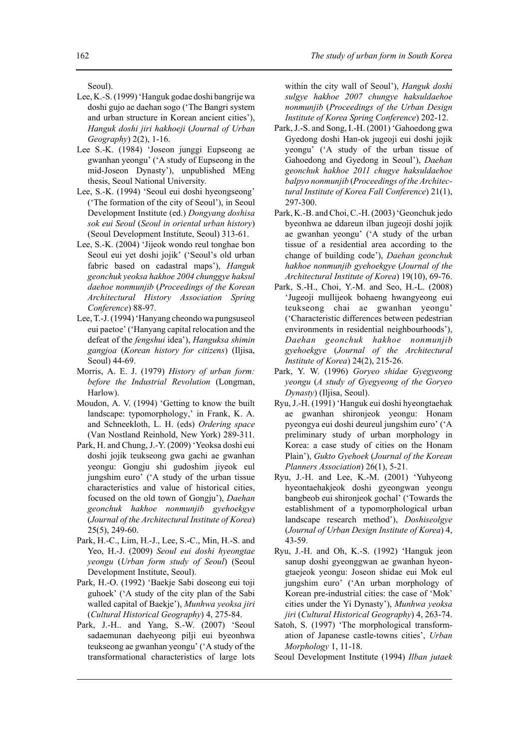Seoul).

- Lee, K.-S. (1999) 'Hanguk godae doshi bangrije wa doshi gujo ae daehan sogo ('The Bangri system and urban structure in Korean ancient cities'), *Hanguk doshi jiri hakhoeji* (*Journal of Urban Geography*) 2(2), 1-16.
- Lee S.-K. (1984) 'Joseon junggi Eupseong ae gwanhan yeongu' ('A study of Eupseong in the mid-Joseon Dynasty'), unpublished MEng thesis, Seoul National University.
- Lee, S.-K. (1994) 'Seoul eui doshi hyeongseong' ('The formation of the city of Seoul'), in Seoul Development Institute (ed.) *Dongyang doshisa sok eui Seoul* (*Seoul in oriental urban history*) (Seoul Development Institute, Seoul) 313-61.
- Lee, S.-K. (2004) 'Jijeok wondo reul tonghae bon Seoul eui yet doshi jojik' ('Seoul's old urban fabric based on cadastral maps'), *Hanguk geonchuk yeoksa hakhoe 2004 chunggye haksul daehoe nonmunjib* (*Proceedings of the Korean Architectural History Association Spring Conference*) 88-97.
- Lee, T.-J. (1994) 'Hanyang cheondo wa pungsuseol eui paetoe' ('Hanyang capital relocation and the defeat of the *fengshui* idea'), *Hanguksa shimin gangjoa* (*Korean history for citizens*) (Iljisa, Seoul) 44-69.
- Morris, A. E. J. (1979) *History of urban form: before the Industrial Revolution* (Longman, Harlow).
- Moudon, A. V. (1994) 'Getting to know the built landscape: typomorphology,' in Frank, K. A. and Schneekloth, L. H. (eds) *Ordering space* (Van Nostland Reinhold, New York) 289-311.
- Park, H. and Chung, J.-Y. (2009) 'Yeoksa doshi eui doshi jojik teukseong gwa gachi ae gwanhan yeongu: Gongju shi gudoshim jiyeok eul jungshim euro' ('A study of the urban tissue characteristics and value of historical cities, focused on the old town of Gongju'), *Daehan geonchuk hakhoe nonmunjib gyehoekgye* (*Journal of the Architectural Institute of Korea*) 25(5), 249-60.
- Park, H.-C., Lim, H.-J., Lee, S.-C., Min, H.-S. and Yeo, H.-J. (2009) *Seoul eui doshi hyeongtae yeongu* (*Urban form study of Seoul*) (Seoul Development Institute, Seoul).
- Park, H.-O. (1992) 'Baekje Sabi doseong eui toji guhoek' ('A study of the city plan of the Sabi walled capital of Baekje'), *Munhwa yeoksa jiri* (*Cultural Historical Geography*) 4, 275-84.
- Park, J.-H.. and Yang, S.-W. (2007) 'Seoul sadaemunan daehyeong pilji eui byeonhwa teukseong ae gwanhan yeongu' ('A study of the transformational characteristics of large lots

within the city wall of Seoul'), *Hanguk doshi sulgye hakhoe 2007 chungye haksuldaehoe nonmunjib* (*Proceedings of the Urban Design Institute of Korea Spring Conference*) 202-12.

- Park, J.-S. and Song, I.-H. (2001) 'Gahoedong gwa Gyedong doshi Han-ok jugeoji eui doshi jojik yeongu' ('A study of the urban tissue of Gahoedong and Gyedong in Seoul'), *Daehan geonchuk hakhoe 2011 chugye haksuldaehoe balpyo nonmunjib* (*Proceedings of the Architectural Institute of Korea Fall Conference*) 21(1), 297-300.
- Park, K.-B. and Choi, C.-H. (2003) 'Geonchuk jedo byeonhwa ae ddareun ilban jugeoji doshi jojik ae gwanhan yeongu' ('A study of the urban tissue of a residential area according to the change of building code'), *Daehan geonchuk hakhoe nonmunjib gyehoekgye* (*Journal of the Architectural Institute of Korea*) 19(10), 69-76.
- Park, S.-H., Choi, Y.-M. and Seo, H.-L. (2008) 'Jugeoji mullijeok bohaeng hwangyeong eui teukseong chai ae gwanhan yeongu' ('Characteristic differences between pedestrian environments in residential neighbourhoods'), *Daehan geonchuk hakhoe nonmunjib gyehoekgye* (*Journal of the Architectural Institute of Korea*) 24(2), 215-26.
- Park, Y. W. (1996) *Goryeo shidae Gyegyeong yeongu* (*A study of Gyegyeong of the Goryeo Dynasty*) (Iljisa, Seoul).
- Ryu, J.-H. (1991) 'Hanguk eui doshi hyeongtaehak ae gwanhan shironjeok yeongu: Honam pyeongya eui doshi deureul jungshim euro' ('A preliminary study of urban morphology in Korea: a case study of cities on the Honam Plain'), *Gukto Gyehoek* (*Journal of the Korean Planners Association*) 26(1), 5-21.
- Ryu, J.-H. and Lee, K.-M. (2001) 'Yuhyeong hyeontaehakjeok doshi gyeongwan yeongu bangbeob eui shironjeok gochal' ('Towards the establishment of a typomorphological urban landscape research method'), *Doshiseolgye* (*Journal of Urban Design Institute of Korea*) 4, 43-59.
- Ryu, J.-H. and Oh, K.-S. (1992) 'Hanguk jeon sanup doshi gyeonggwan ae gwanhan hyeongtaejeok yeongu: Joseon shidae eui Mok eul jungshim euro' ('An urban morphology of Korean pre-industrial cities: the case of 'Mok' cities under the Yi Dynasty'), *Munhwa yeoksa jiri* (*Cultural Historical Geography*) 4, 263-74.
- Satoh, S. (1997) 'The morphological transformation of Japanese castle-towns cities', *Urban Morphology* 1, 11-18.
- Seoul Development Institute (1994) *Ilban jutaek*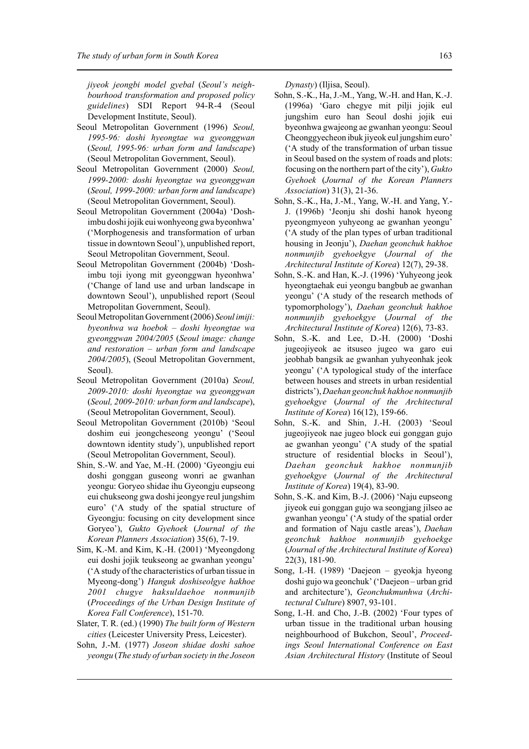*jiyeok jeongbi model gyebal* (*Seoul's neighbourhood transformation and proposed policy guidelines*) SDI Report 94-R-4 (Seoul Development Institute, Seoul).

- Seoul Metropolitan Government (1996) *Seoul, 1995-96: doshi hyeongtae wa gyeonggwan* (*Seoul, 1995-96: urban form and landscape*) (Seoul Metropolitan Government, Seoul).
- Seoul Metropolitan Government (2000) *Seoul, 1999-2000: doshi hyeongtae wa gyeonggwan* (*Seoul, 1999-2000: urban form and landscape*) (Seoul Metropolitan Government, Seoul).
- Seoul Metropolitan Government (2004a) 'Doshimbu doshi jojik eui wonhyeong gwa byeonhwa' ('Morphogenesis and transformation of urban tissue in downtown Seoul'), unpublished report, Seoul Metropolitan Government, Seoul.
- Seoul Metropolitan Government (2004b) 'Doshimbu toji iyong mit gyeonggwan hyeonhwa' ('Change of land use and urban landscape in downtown Seoul'), unpublished report (Seoul Metropolitan Government, Seoul).
- Seoul Metropolitan Government (2006) *Seoul imiji: byeonhwa wa hoebok* – *doshi hyeongtae wa gyeonggwan 2004/2005* (*Seoul image: change and restoration – urban form and landscape 2004/2005*), (Seoul Metropolitan Government, Seoul).
- Seoul Metropolitan Government (2010a) *Seoul, 2009-2010: doshi hyeongtae wa gyeonggwan* (*Seoul, 2009-2010: urban form and landscape*), (Seoul Metropolitan Government, Seoul).
- Seoul Metropolitan Government (2010b) 'Seoul doshim eui jeongcheseong yeongu' ('Seoul downtown identity study'), unpublished report (Seoul Metropolitan Government, Seoul).
- Shin, S.-W. and Yae, M.-H. (2000) 'Gyeongju eui doshi gonggan guseong wonri ae gwanhan yeongu: Goryeo shidae ihu Gyeongju eupseong eui chukseong gwa doshi jeongye reul jungshim euro' ('A study of the spatial structure of Gyeongju: focusing on city development since Goryeo'), *Gukto Gyehoek* (*Journal of the Korean Planners Association*) 35(6), 7-19.
- Sim, K.-M. and Kim, K.-H. (2001) 'Myeongdong eui doshi jojik teukseong ae gwanhan yeongu' ('A study of the characteristics of urban tissue in Myeong-dong') *Hanguk doshiseolgye hakhoe 2001 chugye haksuldaehoe nonmunjib* (*Proceedings of the Urban Design Institute of Korea Fall Conference*), 151-70.
- Slater, T. R. (ed.) (1990) *The built form of Western cities* (Leicester University Press, Leicester).
- Sohn, J.-M. (1977) *Joseon shidae doshi sahoe yeongu* (*The study of urban society in the Joseon*

*Dynasty*) (Iljisa, Seoul).

- Sohn, S.-K., Ha, J.-M., Yang, W.-H. and Han, K.-J. (1996a) 'Garo chegye mit pilji jojik eul jungshim euro han Seoul doshi jojik eui byeonhwa gwajeong ae gwanhan yeongu: Seoul Cheonggyecheon ibuk jiyeok eul jungshim euro' ('A study of the transformation of urban tissue in Seoul based on the system of roads and plots: focusing on the northern part of the city'), *Gukto Gyehoek* (*Journal of the Korean Planners Association*) 31(3), 21-36.
- Sohn, S.-K., Ha, J.-M., Yang, W.-H. and Yang, Y.- J. (1996b) 'Jeonju shi doshi hanok hyeong pyeongmyeon yuhyeong ae gwanhan yeongu' ('A study of the plan types of urban traditional housing in Jeonju'), *Daehan geonchuk hakhoe nonmunjib gyehoekgye* (*Journal of the Architectural Institute of Korea*) 12(7), 29-38.
- Sohn, S.-K. and Han, K.-J. (1996) 'Yuhyeong jeok hyeongtaehak eui yeongu bangbub ae gwanhan yeongu' ('A study of the research methods of typomorphology'), *Daehan geonchuk hakhoe nonmunjib gyehoekgye* (*Journal of the Architectural Institute of Korea*) 12(6), 73-83.
- Sohn, S.-K. and Lee, D.-H. (2000) 'Doshi jugeojiyeok ae itsuseo jugeo wa garo eui jeobhab bangsik ae gwanhan yuhyeonhak jeok yeongu' ('A typological study of the interface between houses and streets in urban residential districts'), *Daehan geonchuk hakhoe nonmunjib gyehoekgye* (*Journal of the Architectural Institute of Korea*) 16(12), 159-66.
- Sohn, S.-K. and Shin, J.-H. (2003) 'Seoul jugeojiyeok nae jugeo block eui gonggan gujo ae gwanhan yeongu' ('A study of the spatial structure of residential blocks in Seoul'), *Daehan geonchuk hakhoe nonmunjib gyehoekgye* (*Journal of the Architectural Institute of Korea*) 19(4), 83-90.
- Sohn, S.-K. and Kim, B.-J. (2006) 'Naju eupseong jiyeok eui gonggan gujo wa seongjang jilseo ae gwanhan yeongu' ('A study of the spatial order and formation of Naju castle areas'), *Daehan geonchuk hakhoe nonmunjib gyehoekge* (*Journal of the Architectural Institute of Korea*) 22(3), 181-90.
- Song, I.-H. (1989) 'Daejeon gyeokja hyeong doshi gujo wa geonchuk' ('Daejeon – urban grid and architecture'), *Geonchukmunhwa* (*Architectural Culture*) 8907, 93-101.
- Song, I.-H. and Cho, J.-B. (2002) 'Four types of urban tissue in the traditional urban housing neighbourhood of Bukchon, Seoul', *Proceedings Seoul International Conference on East Asian Architectural History* (Institute of Seoul